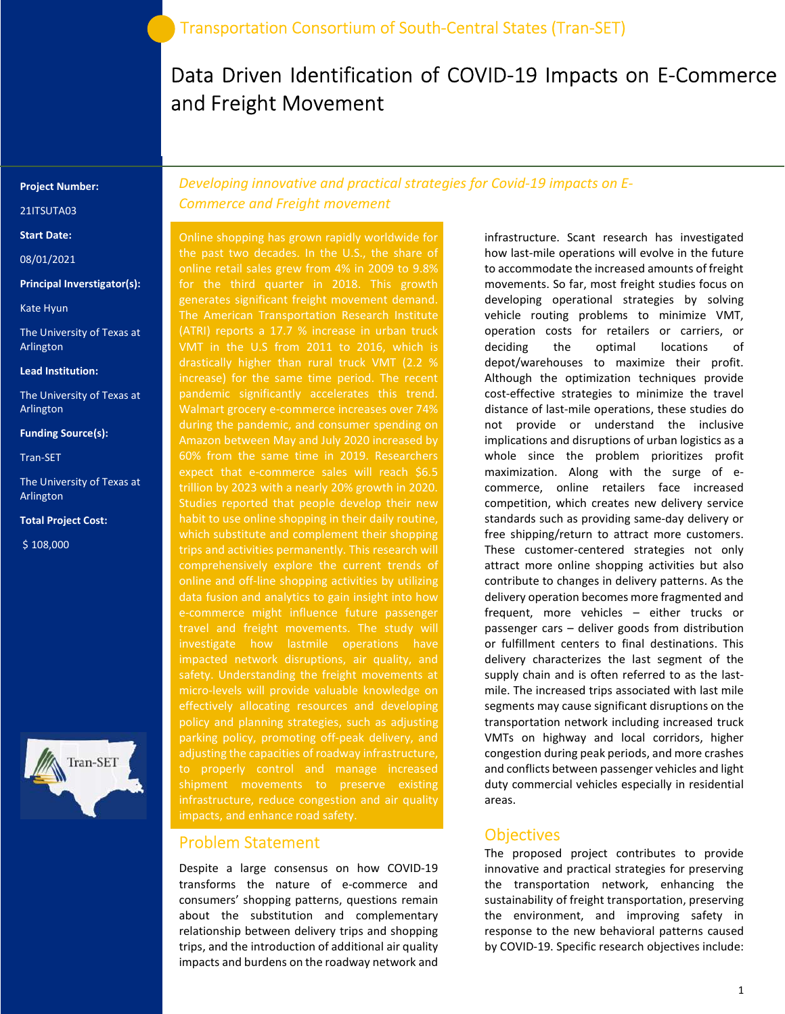# Data Driven Identification of COVID-19 Impacts on E-Commerce and Freight Movement

#### Project Number:

21ITSUTA03

Start Date:

08/01/2021

Principal Inverstigator(s):

Kate Hyun

The University of Texas at Arlington

Lead Institution:

The University of Texas at Arlington

Funding Source(s):

Tran-SET

The University of Texas at Arlington

Total Project Cost:

\$ 108,000



Developing innovative and practical strategies for Covid-19 impacts on E-Commerce and Freight movement

Online shopping has grown rapidly worldwide for the past two decades. In the U.S., the share of online retail sales grew from 4% in 2009 to 9.8% for the third quarter in 2018. This growth generates significant freight movement demand. The American Transportation Research Institute (ATRI) reports a 17.7 % increase in urban truck VMT in the U.S from 2011 to 2016, which is drastically higher than rural truck VMT (2.2 % increase) for the same time period. The recent pandemic significantly accelerates this trend. Walmart grocery e-commerce increases over 74% during the pandemic, and consumer spending on Amazon between May and July 2020 increased by 60% from the same time in 2019. Researchers trillion by 2023 with a nearly 20% growth in 2020. Studies reported that people develop their new habit to use online shopping in their daily routine, which substitute and complement their shopping online and off-line shopping activities by utilizing data fusion and analytics to gain insight into how e-commerce might influence future passenger travel and freight movements. The study will investigate how lastmile operations have impacted network disruptions, air quality, and safety. Understanding the freight movements at micro-levels will provide valuable knowledge on effectively allocating resources and developing policy and planning strategies, such as adjusting parking policy, promoting off-peak delivery, and adjusting the capacities of roadway infrastructure, to properly control and manage increased shipment movements to preserve existing infrastructure, reduce congestion and air quality

#### Problem Statement

Despite a large consensus on how COVID-19 transforms the nature of e-commerce and consumers' shopping patterns, questions remain about the substitution and complementary relationship between delivery trips and shopping trips, and the introduction of additional air quality impacts and burdens on the roadway network and

infrastructure. Scant research has investigated how last-mile operations will evolve in the future to accommodate the increased amounts of freight movements. So far, most freight studies focus on developing operational strategies by solving vehicle routing problems to minimize VMT, operation costs for retailers or carriers, or deciding the optimal locations of depot/warehouses to maximize their profit. Although the optimization techniques provide cost-effective strategies to minimize the travel distance of last-mile operations, these studies do not provide or understand the inclusive implications and disruptions of urban logistics as a whole since the problem prioritizes profit maximization. Along with the surge of ecommerce, online retailers face increased competition, which creates new delivery service standards such as providing same-day delivery or free shipping/return to attract more customers. These customer-centered strategies not only attract more online shopping activities but also contribute to changes in delivery patterns. As the delivery operation becomes more fragmented and frequent, more vehicles – either trucks or passenger cars – deliver goods from distribution or fulfillment centers to final destinations. This delivery characterizes the last segment of the supply chain and is often referred to as the lastmile. The increased trips associated with last mile segments may cause significant disruptions on the transportation network including increased truck VMTs on highway and local corridors, higher congestion during peak periods, and more crashes and conflicts between passenger vehicles and light duty commercial vehicles especially in residential areas.

#### **Objectives**

The proposed project contributes to provide innovative and practical strategies for preserving the transportation network, enhancing the sustainability of freight transportation, preserving the environment, and improving safety in response to the new behavioral patterns caused by COVID-19. Specific research objectives include: